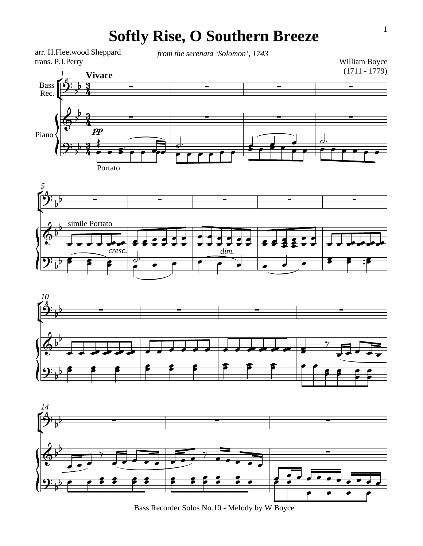## **Softly Rise, O Southern Breeze**

arr. H.Fleetwood Sheppard *from the serenata 'Solomon', 1743*  trans. P.J.Perry William Boyce (1711 - 1779) *1* **Vivace** Bass Rec.  $pp$  and  $pp$  and  $pp$  and  $pp$  and  $pp$  and  $pp$  and  $pp$  and  $pp$  and  $pp$  and  $pp$  and  $pp$  and  $pp$  and  $pp$  and  $mp$ Piano  $\overline{a}$  $\overline{\mathbf{z}}$  .  $\overline{\mathbf{z}}$   $\bullet$  . The contract of the contract of the contract of the contract of the contract of the contract of the contract of the contract of the contract of the contract of the contract of the contract of the contract of the co  $\blacksquare$ \_\_\_\_\_\_\_\_\_ Portato *5* the contract of the contract of the contract of the contract of the contract of the contract of the contract of F simile Portato \_\_\_\_\_\_\_\_\_\_ \_\_\_\_\_\_\_ \_\_\_\_\_\_\_\_\_\_\_\_\_\_\_ \_\_\_\_\_\_\_\_\_\_\_ \_\_\_\_\_\_\_\_\_\_\_\_\_\_\_ \_\_\_\_\_\_\_\_\_\_\_\_\_\_\_ \_\_\_\_\_ \_ \_ \_ \_ \_\_\_\_\_\_\_\_



 

\_\_\_\_\_\_**\_\_\_\_\_\_\_\_** 

 $\overline{\phantom{a}}$   $\overline{\phantom{a}}$   $\overline{\phantom{a}}$   $\overline{\phantom{a}}$   $\overline{\phantom{a}}$   $\overline{\phantom{a}}$   $\overline{\phantom{a}}$   $\overline{\phantom{a}}$   $\overline{\phantom{a}}$   $\overline{\phantom{a}}$   $\overline{\phantom{a}}$   $\overline{\phantom{a}}$   $\overline{\phantom{a}}$   $\overline{\phantom{a}}$   $\overline{\phantom{a}}$   $\overline{\phantom{a}}$   $\overline{\phantom{a}}$   $\overline{\phantom{a}}$   $\overline{\$ 

 

**. .** .  $\blacksquare$ 

*cresc. dim.*

 $\overline{\phantom{a}}$  ,  $\overline{\phantom{a}}$  ,  $\overline{\phantom{a}}$  ,  $\overline{\phantom{a}}$  ,  $\overline{\phantom{a}}$  ,  $\overline{\phantom{a}}$  ,  $\overline{\phantom{a}}$  ,  $\overline{\phantom{a}}$  ,  $\overline{\phantom{a}}$  ,  $\overline{\phantom{a}}$  ,  $\overline{\phantom{a}}$  ,  $\overline{\phantom{a}}$  ,  $\overline{\phantom{a}}$  ,  $\overline{\phantom{a}}$  ,  $\overline{\phantom{a}}$  ,  $\overline{\phantom{a}}$ 

9 T 8 8 8 9 9 1 

 \_\_\_\_

 \_ \_ \_ \_

 $\bullet$  to the set of  $\bullet$ 

 



Bass Recorder Solos No.10 - Melody by W.Boyce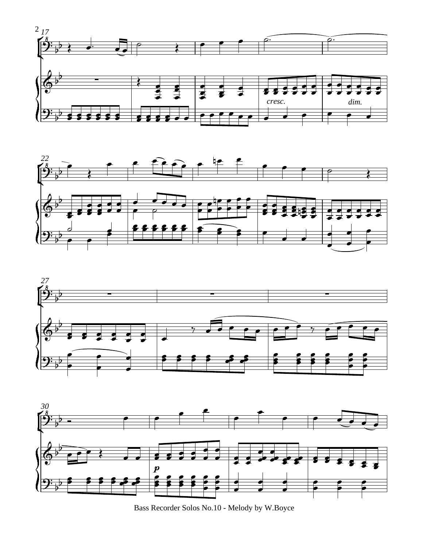







Bass Recorder Solos No.10 - Melody by W.Boyce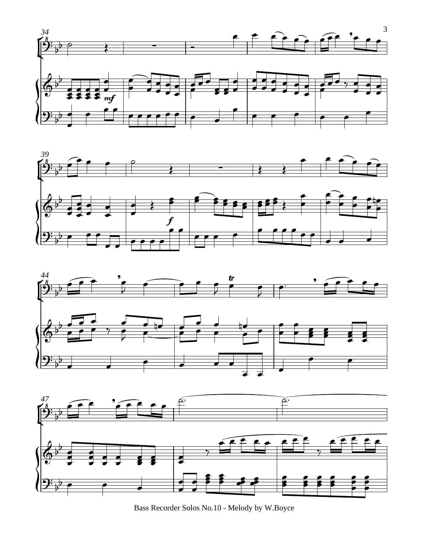







Bass Recorder Solos No.10 - Melody by W.Boyce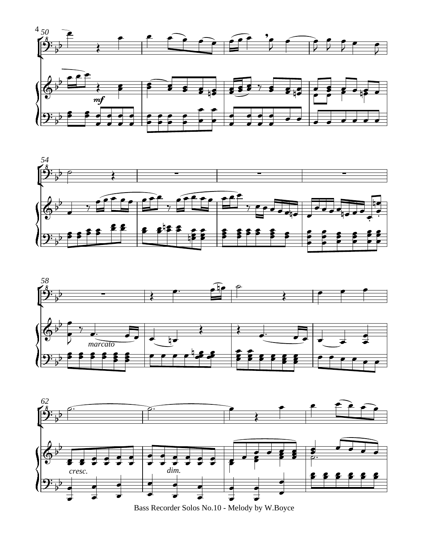







Bass Recorder Solos No.10 - Melody by W.Boyce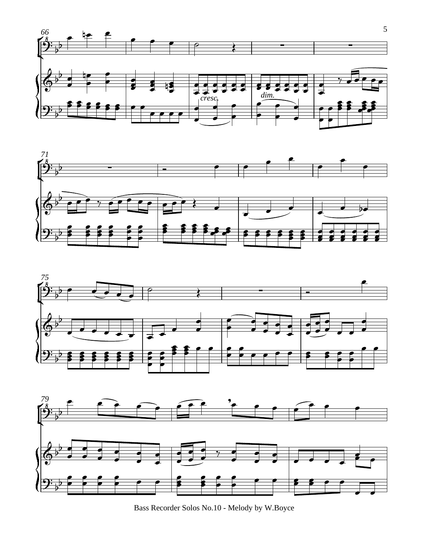







Bass Recorder Solos No.10 - Melody by W.Boyce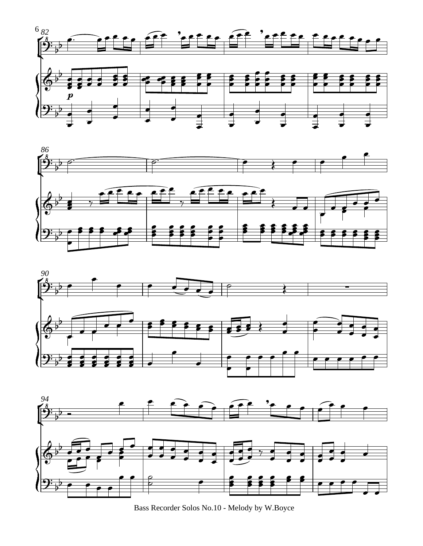







Bass Recorder Solos No.10 - Melody by W.Boyce